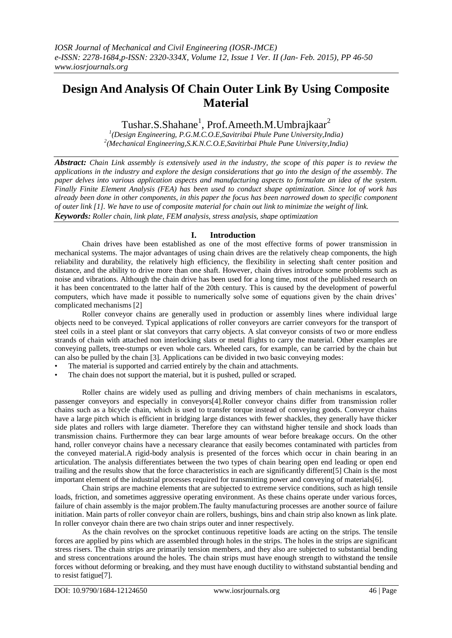# **Design And Analysis Of Chain Outer Link By Using Composite Material**

Tushar.S.Shahane<sup>1</sup>, Prof.Ameeth.M.Umbrajkaar<sup>2</sup>

*1 (Design Engineering, P.G.M.C.O.E,Savitribai Phule Pune University,India) 2 (Mechanical Engineering,S.K.N.C.O.E,Savitirbai Phule Pune University,India)*

*Abstract: Chain Link assembly is extensively used in the industry, the scope of this paper is to review the applications in the industry and explore the design considerations that go into the design of the assembly. The paper delves into various application aspects and manufacturing aspects to formulate an idea of the system. Finally Finite Element Analysis (FEA) has been used to conduct shape optimization. Since lot of work has already been done in other components, in this paper the focus has been narrowed down to specific component of outer link [1]. We have to use of composite material for chain out link to minimize the weight of link. Keywords: Roller chain, link plate, FEM analysis, stress analysis, shape optimization*

#### **I. Introduction**

Chain drives have been established as one of the most effective forms of power transmission in mechanical systems. The major advantages of using chain drives are the relatively cheap components, the high reliability and durability, the relatively high efficiency, the flexibility in selecting shaft center position and distance, and the ability to drive more than one shaft. However, chain drives introduce some problems such as noise and vibrations. Although the chain drive has been used for a long time, most of the published research on it has been concentrated to the latter half of the 20th century. This is caused by the development of powerful computers, which have made it possible to numerically solve some of equations given by the chain drives' complicated mechanisms [2]

Roller conveyor chains are generally used in production or assembly lines where individual large objects need to be conveyed. Typical applications of roller conveyors are carrier conveyors for the transport of steel coils in a steel plant or slat conveyors that carry objects. A slat conveyor consists of two or more endless strands of chain with attached non interlocking slats or metal flights to carry the material. Other examples are conveying pallets, tree-stumps or even whole cars. Wheeled cars, for example, can be carried by the chain but can also be pulled by the chain [3]. Applications can be divided in two basic conveying modes:

- The material is supported and carried entirely by the chain and attachments.
- The chain does not support the material, but it is pushed, pulled or scraped.

Roller chains are widely used as pulling and driving members of chain mechanisms in escalators, passenger conveyors and especially in conveyors[4].Roller conveyor chains differ from transmission roller chains such as a bicycle chain, which is used to transfer torque instead of conveying goods. Conveyor chains have a large pitch which is efficient in bridging large distances with fewer shackles, they generally have thicker side plates and rollers with large diameter. Therefore they can withstand higher tensile and shock loads than transmission chains. Furthermore they can bear large amounts of wear before breakage occurs. On the other hand, roller conveyor chains have a necessary clearance that easily becomes contaminated with particles from the conveyed material.A rigid-body analysis is presented of the forces which occur in chain bearing in an articulation. The analysis differentiates between the two types of chain bearing open end leading or open end trailing and the results show that the force characteristics in each are significantly different[5] Chain is the most important element of the industrial processes required for transmitting power and conveying of materials[6].

Chain strips are machine elements that are subjected to extreme service conditions, such as high tensile loads, friction, and sometimes aggressive operating environment. As these chains operate under various forces, failure of chain assembly is the major problem.The faulty manufacturing processes are another source of failure initiation. Main parts of roller conveyor chain are rollers, bushings, bins and chain strip also known as link plate. In roller conveyor chain there are two chain strips outer and inner respectively.

As the chain revolves on the sprocket continuous repetitive loads are acting on the strips. The tensile forces are applied by pins which are assembled through holes in the strips. The holes in the strips are significant stress risers. The chain strips are primarily tension members, and they also are subjected to substantial bending and stress concentrations around the holes. The chain strips must have enough strength to withstand the tensile forces without deforming or breaking, and they must have enough ductility to withstand substantial bending and to resist fatigue[7].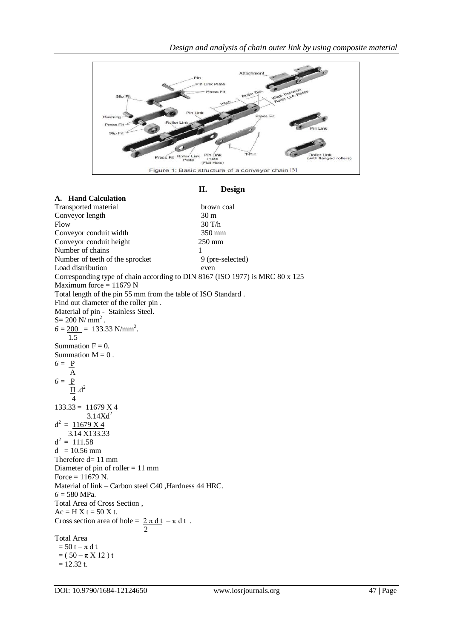

## **II. Design**

| A. Hand Calculation                                                          |                  |
|------------------------------------------------------------------------------|------------------|
| Transported material                                                         | brown coal       |
| Conveyor length                                                              | 30 m             |
| Flow                                                                         | 30 T/h           |
| Conveyor conduit width                                                       | 350 mm           |
| Conveyor conduit height                                                      | $250 \text{ mm}$ |
| Number of chains                                                             | 1                |
| Number of teeth of the sprocket                                              | 9 (pre-selected) |
| Load distribution                                                            | even             |
| Corresponding type of chain according to DIN 8167 (ISO 1977) is MRC 80 x 125 |                  |
| Maximum force $= 11679$ N                                                    |                  |
| Total length of the pin 55 mm from the table of ISO Standard.                |                  |
| Find out diameter of the roller pin.                                         |                  |
| Material of pin - Stainless Steel.                                           |                  |
| $S = 200$ N/ mm <sup>2</sup> .                                               |                  |
| $6 = 200 = 133.33$ N/mm <sup>2</sup> .                                       |                  |
| 1.5                                                                          |                  |
| Summation $F = 0$ .                                                          |                  |
| Summation $M = 0$ .                                                          |                  |
| $6 = P$                                                                      |                  |
| $\overline{A}$                                                               |                  |
|                                                                              |                  |
| $6 = \frac{P}{\underline{\Pi}} d^2$                                          |                  |
|                                                                              |                  |
| $133.33 = 11679 \times 4$                                                    |                  |
| 3.14Xd <sup>2</sup>                                                          |                  |
| $d^2 = 11679 X 4$                                                            |                  |
| 3.14 X133.33                                                                 |                  |
| $d^2 = 111.58$                                                               |                  |
| $d = 10.56$ mm                                                               |                  |
| Therefore $d=11$ mm                                                          |                  |
| Diameter of pin of roller $= 11$ mm                                          |                  |
| Force = $11679$ N.                                                           |                  |
| Material of link - Carbon steel C40 , Hardness 44 HRC.                       |                  |
| $6 = 580$ MPa.                                                               |                  |
| Total Area of Cross Section,                                                 |                  |
| $Ac = H X t = 50 X t$ .                                                      |                  |
| Cross section area of hole = $\frac{2 \pi d t}{2} = \pi d t$ .               |                  |
| Total Area                                                                   |                  |
| $= 50 t - \pi dt$                                                            |                  |
| $= (50 - \pi X 12) t$                                                        |                  |
| $= 12.32$ t.                                                                 |                  |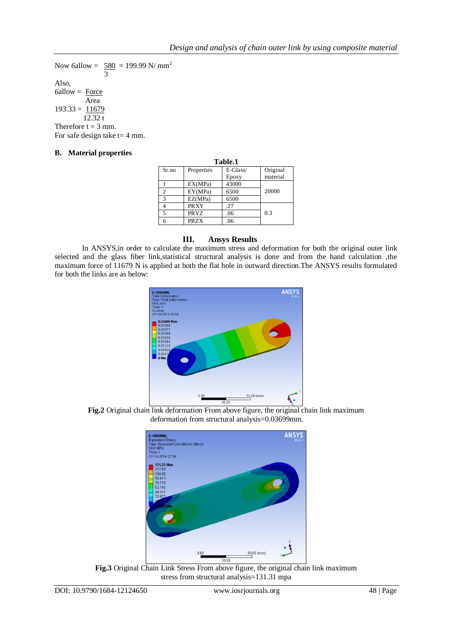Now 6allow =  $580 = 199.99$  N/ mm<sup>2</sup> 3 Also, *6*allow = Force Area  $193.33 = 11679$  12.32 t Therefore  $t = 3$  mm. For safe design take  $t=4$  mm.

#### **B. Material properties**

| Table.1        |             |          |          |  |  |
|----------------|-------------|----------|----------|--|--|
| Sr.no          | Properties  | E-Glass/ | Original |  |  |
|                |             | Epoxy    | material |  |  |
|                | EX(MPa)     | 43000    |          |  |  |
| $\overline{c}$ | EY(MPa)     | 6500     | 20000    |  |  |
| 3              | EZ(MPa)     | 6500     |          |  |  |
|                | <b>PRXY</b> | .27      |          |  |  |
| 5              | PRYZ        | .06      | 0.3      |  |  |
| 6              | <b>PRZX</b> | .06      |          |  |  |

#### **III. Ansys Results**

In ANSYS,in order to calculate the maximum stress and deformation for both the original outer link selected and the glass fiber link,statistical structural analysis is done and from the hand calculation ,the maximum force of 11679 N is applied at both the flat hole in outward direction.The ANSYS results formulated for both the links are as below:



**Fig.2** Original chain link deformation From above figure, the original chain link maximum deformation from structural analysis=0.03699mm.



**Fig.3** Original Chain Link Stress From above figure, the original chain link maximum stress from structural analysis=131.31 mpa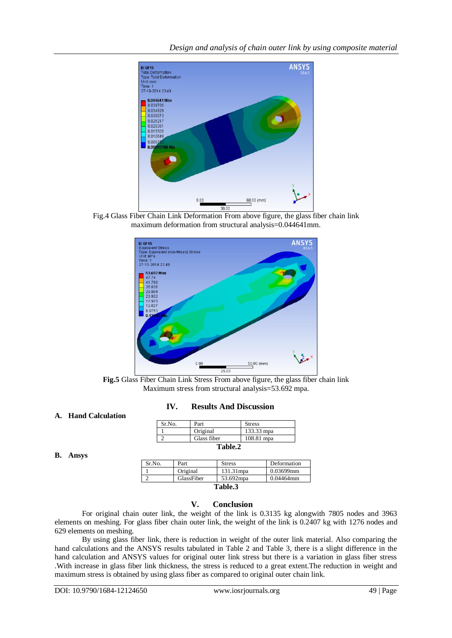

Fig.4 Glass Fiber Chain Link Deformation From above figure, the glass fiber chain link maximum deformation from structural analysis=0.044641mm.



**Fig.5** Glass Fiber Chain Link Stress From above figure, the glass fiber chain link Maximum stress from structural analysis=53.692 mpa.

#### **IV. Results And Discussion**

 $\mathsf{L}$ 

#### **A. Hand Calculation**

| Sr.No.  | Part        | <b>Stress</b> |  |  |
|---------|-------------|---------------|--|--|
|         | Original    | 133.33 mpa    |  |  |
|         | Glass fiber | 108.81 mpa    |  |  |
| Table.2 |             |               |  |  |

### **B. Ansys**

| Sr.No.  | Part       | <b>Stress</b> | Deformation  |  |
|---------|------------|---------------|--------------|--|
|         | Original   | 131.31mpa     | 0.03699mm    |  |
|         | GlassFiber | 53.692mpa     | $0.04464$ mm |  |
| Table.3 |            |               |              |  |

#### **V. Conclusion**

For original chain outer link, the weight of the link is 0.3135 kg alongwith 7805 nodes and 3963 elements on meshing. For glass fiber chain outer link, the weight of the link is 0.2407 kg with 1276 nodes and 629 elements on meshing.

By using glass fiber link, there is reduction in weight of the outer link material. Also comparing the hand calculations and the ANSYS results tabulated in Table 2 and Table 3, there is a slight difference in the hand calculation and ANSYS values for original outer link stress but there is a variation in glass fiber stress .With increase in glass fiber link thickness, the stress is reduced to a great extent.The reduction in weight and maximum stress is obtained by using glass fiber as compared to original outer chain link.